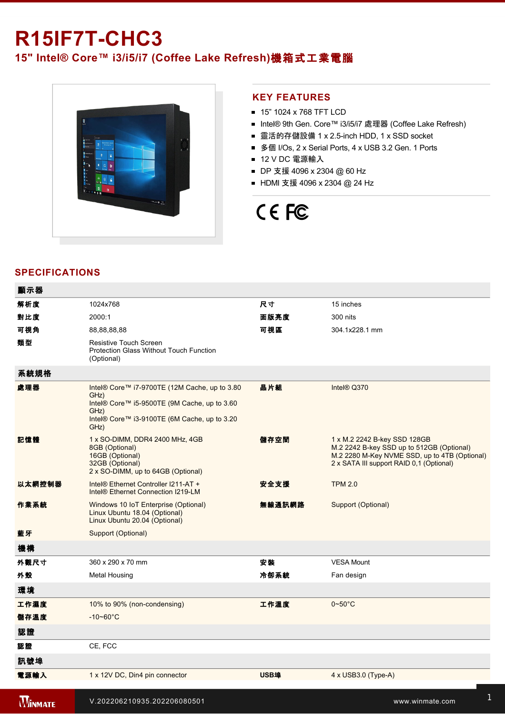# **R15IF7T-CHC3 15" Intel® Core™ i3/i5/i7 (Coffee Lake Refresh)**機箱式工業電腦



## **KEY FEATURES**

- 15" 1024 x 768 TFT LCD
- Intel® 9th Gen. Core™ i3/i5/i7 處理器 (Coffee Lake Refresh)
- 靈活的存儲設備 1 x 2.5-inch HDD, 1 x SSD socket
- 多個 I/Os, 2 x Serial Ports, 4 x USB 3.2 Gen. 1 Ports
- 12 V DC 電源輸入
- DP 支援 4096 x 2304 @ 60 Hz
- HDMI 支援 4096 x 2304 @ 24 Hz

# CE FC

# **SPECIFICATIONS**

| 顯示器            |                                                                                                                                                                       |             |                                                                                                                                                                        |
|----------------|-----------------------------------------------------------------------------------------------------------------------------------------------------------------------|-------------|------------------------------------------------------------------------------------------------------------------------------------------------------------------------|
| 解析度            | 1024x768                                                                                                                                                              | 尺寸          | 15 inches                                                                                                                                                              |
| 對比度            | 2000:1                                                                                                                                                                | 面版亮度        | 300 nits                                                                                                                                                               |
| 可視角            | 88,88,88,88                                                                                                                                                           | 可視區         | 304.1x228.1 mm                                                                                                                                                         |
| 類型             | Resistive Touch Screen<br>Protection Glass Without Touch Function<br>(Optional)                                                                                       |             |                                                                                                                                                                        |
| 系統規格           |                                                                                                                                                                       |             |                                                                                                                                                                        |
| 處理器            | Intel® Core™ i7-9700TE (12M Cache, up to 3.80<br>GHz)<br>Intel® Core™ i5-9500TE (9M Cache, up to 3.60<br>GHz)<br>Intel® Core™ i3-9100TE (6M Cache, up to 3.20<br>GHz) | 晶片組         | Intel® Q370                                                                                                                                                            |
| 記憶體            | 1 x SO-DIMM, DDR4 2400 MHz, 4GB<br>8GB (Optional)<br>16GB (Optional)<br>32GB (Optional)<br>2 x SO-DIMM, up to 64GB (Optional)                                         | 儲存空間        | 1 x M.2 2242 B-key SSD 128GB<br>M.2 2242 B-key SSD up to 512GB (Optional)<br>M.2 2280 M-Key NVME SSD, up to 4TB (Optional)<br>2 x SATA III support RAID 0,1 (Optional) |
| 以太網控制器         | Intel® Ethernet Controller I211-AT +<br>Intel® Ethernet Connection I219-LM                                                                                            | 安全支援        | <b>TPM 2.0</b>                                                                                                                                                         |
| 作業系統           | Windows 10 IoT Enterprise (Optional)<br>Linux Ubuntu 18.04 (Optional)<br>Linux Ubuntu 20.04 (Optional)                                                                | 無線通訊網路      | Support (Optional)                                                                                                                                                     |
| 藍牙             | Support (Optional)                                                                                                                                                    |             |                                                                                                                                                                        |
| 機構             |                                                                                                                                                                       |             |                                                                                                                                                                        |
| 外觀尺寸           | 360 x 290 x 70 mm                                                                                                                                                     | 安装          | <b>VESA Mount</b>                                                                                                                                                      |
| 外殼             | <b>Metal Housing</b>                                                                                                                                                  | 冷卻系統        | Fan design                                                                                                                                                             |
| 環境             |                                                                                                                                                                       |             |                                                                                                                                                                        |
| 工作濕度           | 10% to 90% (non-condensing)                                                                                                                                           | 工作溫度        | $0 - 50^{\circ}$ C                                                                                                                                                     |
| 儲存溫度           | $-10 - 60^{\circ}$ C                                                                                                                                                  |             |                                                                                                                                                                        |
| 認證             |                                                                                                                                                                       |             |                                                                                                                                                                        |
| 認證             | CE, FCC                                                                                                                                                               |             |                                                                                                                                                                        |
| 訊號埠            |                                                                                                                                                                       |             |                                                                                                                                                                        |
| 電源輸入           | 1 x 12V DC, Din4 pin connector                                                                                                                                        | <b>USB埠</b> | $4 \times$ USB3.0 (Type-A)                                                                                                                                             |
| <b>WINMATE</b> | V.202206210935.202206080501                                                                                                                                           |             | www.winmate.com                                                                                                                                                        |